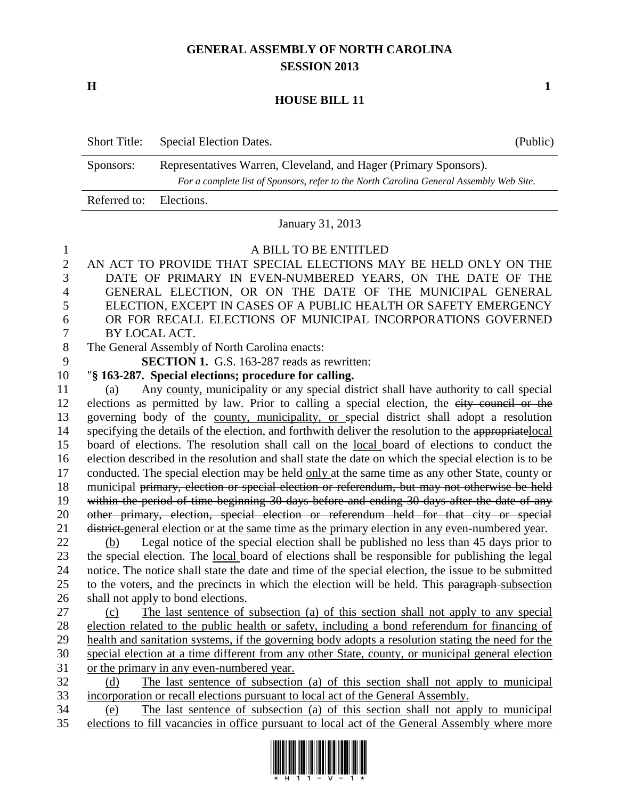## **GENERAL ASSEMBLY OF NORTH CAROLINA SESSION 2013**

**H 1**

## **HOUSE BILL 11**

| <b>Short Title:</b>     | Special Election Dates.                                                                                                                                     | (Public) |
|-------------------------|-------------------------------------------------------------------------------------------------------------------------------------------------------------|----------|
| Sponsors:               | Representatives Warren, Cleveland, and Hager (Primary Sponsors).<br>For a complete list of Sponsors, refer to the North Carolina General Assembly Web Site. |          |
| Referred to: Elections. |                                                                                                                                                             |          |

January 31, 2013

#### A BILL TO BE ENTITLED

 AN ACT TO PROVIDE THAT SPECIAL ELECTIONS MAY BE HELD ONLY ON THE DATE OF PRIMARY IN EVEN-NUMBERED YEARS, ON THE DATE OF THE GENERAL ELECTION, OR ON THE DATE OF THE MUNICIPAL GENERAL ELECTION, EXCEPT IN CASES OF A PUBLIC HEALTH OR SAFETY EMERGENCY OR FOR RECALL ELECTIONS OF MUNICIPAL INCORPORATIONS GOVERNED BY LOCAL ACT. The General Assembly of North Carolina enacts: **SECTION 1.** G.S. 163-287 reads as rewritten: "**§ 163-287. Special elections; procedure for calling.** (a) Any county, municipality or any special district shall have authority to call special elections as permitted by law. Prior to calling a special election, the city council or the governing body of the county, municipality, or special district shall adopt a resolution 14 specifying the details of the election, and forthwith deliver the resolution to the appropriate local board of elections. The resolution shall call on the local board of elections to conduct the election described in the resolution and shall state the date on which the special election is to be conducted. The special election may be held only at the same time as any other State, county or 18 municipal primary, election or special election or referendum, but may not otherwise be held 19 within the period of time beginning 30 days before and ending 30 days after the date of any other primary, election, special election or referendum held for that city or special district.general election or at the same time as the primary election in any even-numbered year. (b) Legal notice of the special election shall be published no less than 45 days prior to

 the special election. The local board of elections shall be responsible for publishing the legal notice. The notice shall state the date and time of the special election, the issue to be submitted 25 to the voters, and the precincts in which the election will be held. This paragraph-subsection shall not apply to bond elections.

 (c) The last sentence of subsection (a) of this section shall not apply to any special election related to the public health or safety, including a bond referendum for financing of health and sanitation systems, if the governing body adopts a resolution stating the need for the special election at a time different from any other State, county, or municipal general election or the primary in any even-numbered year.

 (d) The last sentence of subsection (a) of this section shall not apply to municipal incorporation or recall elections pursuant to local act of the General Assembly.

 (e) The last sentence of subsection (a) of this section shall not apply to municipal elections to fill vacancies in office pursuant to local act of the General Assembly where more

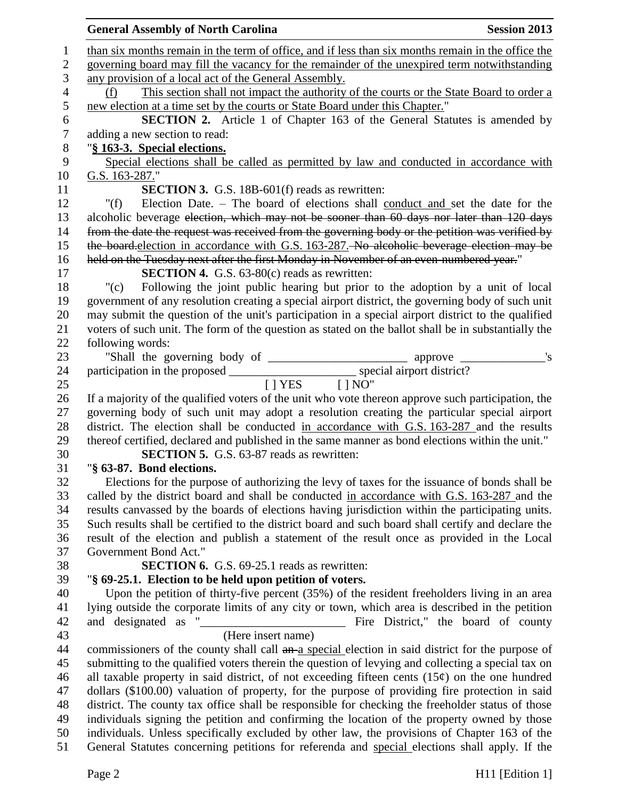|                | <b>General Assembly of North Carolina</b><br><b>Session 2013</b>                                    |
|----------------|-----------------------------------------------------------------------------------------------------|
| 1              | than six months remain in the term of office, and if less than six months remain in the office the  |
| $\mathbf{2}$   | governing board may fill the vacancy for the remainder of the unexpired term notwithstanding        |
| $\mathfrak{Z}$ | any provision of a local act of the General Assembly.                                               |
| $\overline{4}$ | This section shall not impact the authority of the courts or the State Board to order a<br>(f)      |
| 5              | new election at a time set by the courts or State Board under this Chapter."                        |
| 6              | <b>SECTION 2.</b> Article 1 of Chapter 163 of the General Statutes is amended by                    |
| 7              | adding a new section to read:                                                                       |
| $8\phantom{1}$ | "§ 163-3. Special elections.                                                                        |
| 9              | Special elections shall be called as permitted by law and conducted in accordance with              |
| 10             | G.S. 163-287."                                                                                      |
| 11             | <b>SECTION 3.</b> G.S. 18B-601(f) reads as rewritten:                                               |
| 12             | Election Date. – The board of elections shall conduct and set the date for the<br>" $(f)$           |
| 13             | alcoholic beverage election, which may not be sooner than 60 days nor later than 120 days           |
| 14             | from the date the request was received from the governing body or the petition was verified by      |
| 15             | the board-election in accordance with G.S. 163-287. No alcoholic beverage election may be           |
| 16             | held on the Tuesday next after the first Monday in November of an even-numbered year."              |
| 17             | <b>SECTION 4.</b> G.S. $63-80(c)$ reads as rewritten:                                               |
| 18             | Following the joint public hearing but prior to the adoption by a unit of local<br>"(c)             |
| 19             | government of any resolution creating a special airport district, the governing body of such unit   |
| 20             | may submit the question of the unit's participation in a special airport district to the qualified  |
| 21             | voters of such unit. The form of the question as stated on the ballot shall be in substantially the |
| 22             | following words:                                                                                    |
| 23             |                                                                                                     |
| 24             | participation in the proposed ______________________________ special airport district?              |
| 25             | [   YES     NO"                                                                                     |
| 26             | If a majority of the qualified voters of the unit who vote thereon approve such participation, the  |
| 27             | governing body of such unit may adopt a resolution creating the particular special airport          |
| 28             | district. The election shall be conducted in accordance with G.S. 163-287 and the results           |
| 29             | thereof certified, declared and published in the same manner as bond elections within the unit."    |
| 30             | <b>SECTION 5.</b> G.S. 63-87 reads as rewritten:                                                    |
| 31             | "§ 63-87. Bond elections.                                                                           |
| 32             | Elections for the purpose of authorizing the levy of taxes for the issuance of bonds shall be       |
| 33             | called by the district board and shall be conducted in accordance with G.S. 163-287 and the         |
| 34             | results can vassed by the boards of elections having jurisdiction within the participating units.   |
| 35             | Such results shall be certified to the district board and such board shall certify and declare the  |
| 36             | result of the election and publish a statement of the result once as provided in the Local          |
| 37             | Government Bond Act."                                                                               |
| 38             | <b>SECTION 6.</b> G.S. 69-25.1 reads as rewritten:                                                  |
| 39             | "§ 69-25.1. Election to be held upon petition of voters.                                            |
| 40             | Upon the petition of thirty-five percent (35%) of the resident freeholders living in an area        |
| 41             | lying outside the corporate limits of any city or town, which area is described in the petition     |
| 42             |                                                                                                     |
| 43             | (Here insert name)                                                                                  |
| 44             | commissioners of the county shall call an a special election in said district for the purpose of    |
| 45             | submitting to the qualified voters therein the question of levying and collecting a special tax on  |
| 46             | all taxable property in said district, of not exceeding fifteen cents $(15¢)$ on the one hundred    |
| 47             | dollars (\$100.00) valuation of property, for the purpose of providing fire protection in said      |
| 48             | district. The county tax office shall be responsible for checking the freeholder status of those    |
| 49             | individuals signing the petition and confirming the location of the property owned by those         |
| 50             | individuals. Unless specifically excluded by other law, the provisions of Chapter 163 of the        |
| 51             | General Statutes concerning petitions for referenda and special elections shall apply. If the       |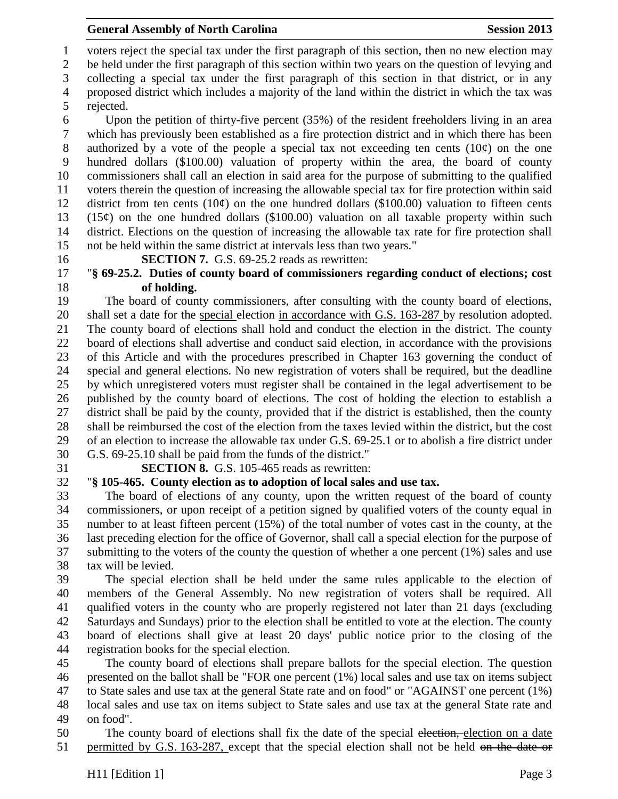voters reject the special tax under the first paragraph of this section, then no new election may

be held under the first paragraph of this section within two years on the question of levying and

collecting a special tax under the first paragraph of this section in that district, or in any

 proposed district which includes a majority of the land within the district in which the tax was rejected.

 Upon the petition of thirty-five percent (35%) of the resident freeholders living in an area which has previously been established as a fire protection district and in which there has been 8 authorized by a vote of the people a special tax not exceeding ten cents  $(10¢)$  on the one hundred dollars (\$100.00) valuation of property within the area, the board of county commissioners shall call an election in said area for the purpose of submitting to the qualified voters therein the question of increasing the allowable special tax for fire protection within said 12 district from ten cents  $(10¢)$  on the one hundred dollars (\$100.00) valuation to fifteen cents 13 (15 $\phi$ ) on the one hundred dollars (\$100.00) valuation on all taxable property within such district. Elections on the question of increasing the allowable tax rate for fire protection shall not be held within the same district at intervals less than two years."

**SECTION 7.** G.S. 69-25.2 reads as rewritten:

## "**§ 69-25.2. Duties of county board of commissioners regarding conduct of elections; cost of holding.**

 The board of county commissioners, after consulting with the county board of elections, shall set a date for the special election in accordance with G.S. 163-287 by resolution adopted. The county board of elections shall hold and conduct the election in the district. The county board of elections shall advertise and conduct said election, in accordance with the provisions of this Article and with the procedures prescribed in Chapter 163 governing the conduct of special and general elections. No new registration of voters shall be required, but the deadline by which unregistered voters must register shall be contained in the legal advertisement to be published by the county board of elections. The cost of holding the election to establish a district shall be paid by the county, provided that if the district is established, then the county shall be reimbursed the cost of the election from the taxes levied within the district, but the cost of an election to increase the allowable tax under G.S. 69-25.1 or to abolish a fire district under G.S. 69-25.10 shall be paid from the funds of the district."

## **SECTION 8.** G.S. 105-465 reads as rewritten:

# "**§ 105-465. County election as to adoption of local sales and use tax.**

 The board of elections of any county, upon the written request of the board of county commissioners, or upon receipt of a petition signed by qualified voters of the county equal in number to at least fifteen percent (15%) of the total number of votes cast in the county, at the last preceding election for the office of Governor, shall call a special election for the purpose of submitting to the voters of the county the question of whether a one percent (1%) sales and use tax will be levied.

 The special election shall be held under the same rules applicable to the election of members of the General Assembly. No new registration of voters shall be required. All qualified voters in the county who are properly registered not later than 21 days (excluding Saturdays and Sundays) prior to the election shall be entitled to vote at the election. The county board of elections shall give at least 20 days' public notice prior to the closing of the registration books for the special election.

 The county board of elections shall prepare ballots for the special election. The question presented on the ballot shall be "FOR one percent (1%) local sales and use tax on items subject to State sales and use tax at the general State rate and on food" or "AGAINST one percent (1%) local sales and use tax on items subject to State sales and use tax at the general State rate and on food".

50 The county board of elections shall fix the date of the special election, election on a date 51 permitted by G.S. 163-287, except that the special election shall not be held on the date or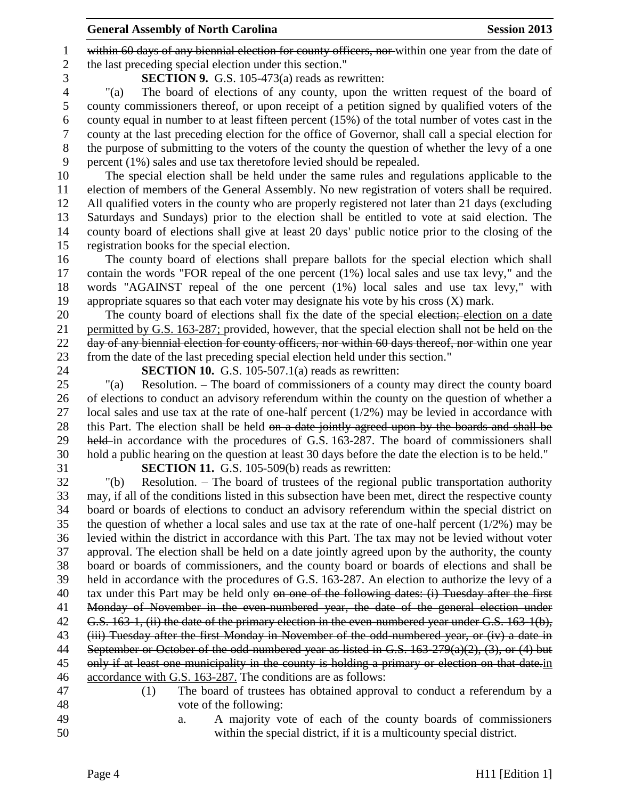1 within 60 days of any biennial election for county officers, nor within one year from the date of the last preceding special election under this section."

**SECTION 9.** G.S. 105-473(a) reads as rewritten:

 "(a) The board of elections of any county, upon the written request of the board of county commissioners thereof, or upon receipt of a petition signed by qualified voters of the county equal in number to at least fifteen percent (15%) of the total number of votes cast in the county at the last preceding election for the office of Governor, shall call a special election for the purpose of submitting to the voters of the county the question of whether the levy of a one percent (1%) sales and use tax theretofore levied should be repealed.

 The special election shall be held under the same rules and regulations applicable to the election of members of the General Assembly. No new registration of voters shall be required. All qualified voters in the county who are properly registered not later than 21 days (excluding Saturdays and Sundays) prior to the election shall be entitled to vote at said election. The county board of elections shall give at least 20 days' public notice prior to the closing of the registration books for the special election.

 The county board of elections shall prepare ballots for the special election which shall contain the words "FOR repeal of the one percent (1%) local sales and use tax levy," and the words "AGAINST repeal of the one percent (1%) local sales and use tax levy," with appropriate squares so that each voter may designate his vote by his cross (X) mark.

20 The county board of elections shall fix the date of the special election; election on a date 21 permitted by G.S. 163-287; provided, however, that the special election shall not be held on the 22 day of any biennial election for county officers, nor within 60 days thereof, nor within one year from the date of the last preceding special election held under this section."

**SECTION 10.** G.S. 105-507.1(a) reads as rewritten:

 "(a) Resolution. – The board of commissioners of a county may direct the county board of elections to conduct an advisory referendum within the county on the question of whether a 27 local sales and use tax at the rate of one-half percent  $(1/2%)$  may be levied in accordance with 28 this Part. The election shall be held on a date jointly agreed upon by the boards and shall be 29 held in accordance with the procedures of G.S. 163-287. The board of commissioners shall hold a public hearing on the question at least 30 days before the date the election is to be held."

**SECTION 11.** G.S. 105-509(b) reads as rewritten:

 "(b) Resolution. – The board of trustees of the regional public transportation authority may, if all of the conditions listed in this subsection have been met, direct the respective county board or boards of elections to conduct an advisory referendum within the special district on the question of whether a local sales and use tax at the rate of one-half percent (1/2%) may be levied within the district in accordance with this Part. The tax may not be levied without voter approval. The election shall be held on a date jointly agreed upon by the authority, the county board or boards of commissioners, and the county board or boards of elections and shall be held in accordance with the procedures of G.S. 163-287. An election to authorize the levy of a 40 tax under this Part may be held only on one of the following dates: (i) Tuesday after the first Monday of November in the even-numbered year, the date of the general election under 42 G.S. 163-1, (ii) the date of the primary election in the even-numbered year under G.S. 163-1(b), (iii) Tuesday after the first Monday in November of the odd-numbered year, or (iv) a date in September or October of the odd-numbered year as listed in G.S. 163-279(a)(2), (3), or (4) but 45 only if at least one municipality in the county is holding a primary or election on that date.in accordance with G.S. 163-287. The conditions are as follows:

 (1) The board of trustees has obtained approval to conduct a referendum by a vote of the following:

 a. A majority vote of each of the county boards of commissioners within the special district, if it is a multicounty special district.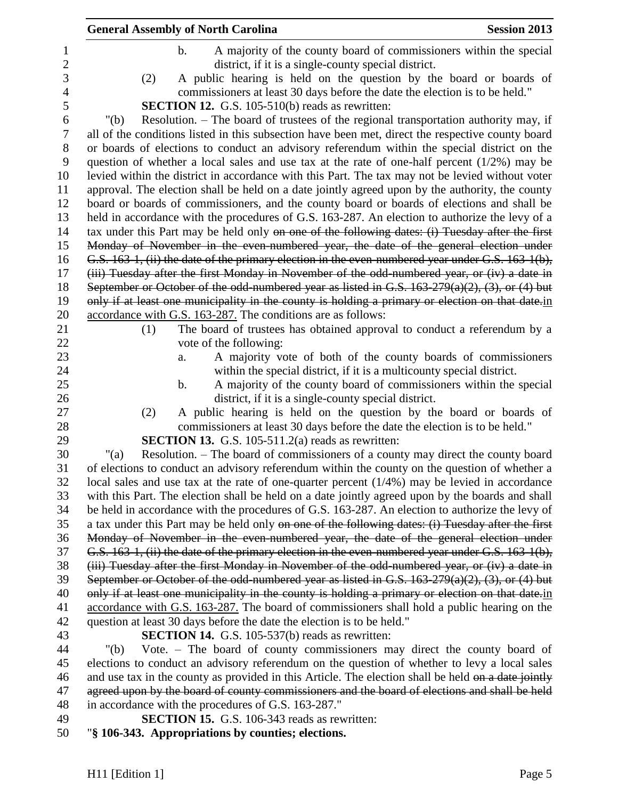| <b>General Assembly of North Carolina</b> |                                                                             | <b>Session 2013</b>                                                                                    |
|-------------------------------------------|-----------------------------------------------------------------------------|--------------------------------------------------------------------------------------------------------|
| $\mathbf b$ .                             |                                                                             | A majority of the county board of commissioners within the special                                     |
|                                           | district, if it is a single-county special district.                        |                                                                                                        |
| (2)                                       |                                                                             | A public hearing is held on the question by the board or boards of                                     |
|                                           | commissioners at least 30 days before the date the election is to be held." |                                                                                                        |
|                                           | <b>SECTION 12.</b> G.S. 105-510(b) reads as rewritten:                      |                                                                                                        |
| " $(b)$                                   |                                                                             | Resolution. – The board of trustees of the regional transportation authority may, if                   |
|                                           |                                                                             | all of the conditions listed in this subsection have been met, direct the respective county board      |
|                                           |                                                                             | or boards of elections to conduct an advisory referendum within the special district on the            |
|                                           |                                                                             | question of whether a local sales and use tax at the rate of one-half percent $(1/2%)$ may be          |
|                                           |                                                                             | levied within the district in accordance with this Part. The tax may not be levied without voter       |
|                                           |                                                                             | approval. The election shall be held on a date jointly agreed upon by the authority, the county        |
|                                           |                                                                             | board or boards of commissioners, and the county board or boards of elections and shall be             |
|                                           |                                                                             | held in accordance with the procedures of G.S. 163-287. An election to authorize the levy of a         |
|                                           |                                                                             | tax under this Part may be held only on one of the following dates: (i) Tuesday after the first        |
|                                           |                                                                             | Monday of November in the even numbered year, the date of the general election under                   |
|                                           |                                                                             | G.S. 163-1, (ii) the date of the primary election in the even-numbered year under G.S. 163-1(b),       |
|                                           |                                                                             | (iii) Tuesday after the first Monday in November of the odd-numbered year, or (iv) a date in           |
|                                           |                                                                             | September or October of the odd-numbered year as listed in G.S. $163-279(a)(2)$ , $(3)$ , or $(4)$ but |
|                                           |                                                                             | only if at least one municipality in the county is holding a primary or election on that date in       |
|                                           | accordance with G.S. 163-287. The conditions are as follows:                |                                                                                                        |
| (1)                                       |                                                                             | The board of trustees has obtained approval to conduct a referendum by a                               |
|                                           | vote of the following:                                                      |                                                                                                        |
| a.                                        |                                                                             | A majority vote of both of the county boards of commissioners                                          |
|                                           | within the special district, if it is a multicounty special district.       |                                                                                                        |
| $\mathbf b$ .                             |                                                                             | A majority of the county board of commissioners within the special                                     |
|                                           | district, if it is a single-county special district.                        |                                                                                                        |
| (2)                                       |                                                                             | A public hearing is held on the question by the board or boards of                                     |
|                                           | commissioners at least 30 days before the date the election is to be held." |                                                                                                        |
|                                           | <b>SECTION 13.</b> G.S. 105-511.2(a) reads as rewritten:                    |                                                                                                        |
| " $(a)$                                   |                                                                             | Resolution. – The board of commissioners of a county may direct the county board                       |
|                                           |                                                                             | of elections to conduct an advisory referendum within the county on the question of whether a          |
|                                           |                                                                             | local sales and use tax at the rate of one-quarter percent $(1/4%)$ may be levied in accordance        |
|                                           |                                                                             | with this Part. The election shall be held on a date jointly agreed upon by the boards and shall       |
|                                           |                                                                             | be held in accordance with the procedures of G.S. 163-287. An election to authorize the levy of        |
|                                           |                                                                             | a tax under this Part may be held only on one of the following dates: (i) Tuesday after the first      |
|                                           |                                                                             | Monday of November in the even numbered year, the date of the general election under                   |
|                                           |                                                                             | G.S. 163-1, (ii) the date of the primary election in the even-numbered year under G.S. 163-1(b),       |
|                                           |                                                                             | (iii) Tuesday after the first Monday in November of the odd-numbered year, or (iv) a date in           |
|                                           |                                                                             | September or October of the odd-numbered year as listed in G.S. $163-279(a)(2)$ , $(3)$ , or $(4)$ but |
|                                           |                                                                             | only if at least one municipality in the county is holding a primary or election on that date in       |
|                                           |                                                                             | accordance with G.S. 163-287. The board of commissioners shall hold a public hearing on the            |
|                                           | question at least 30 days before the date the election is to be held."      |                                                                                                        |
|                                           | <b>SECTION 14.</b> G.S. 105-537(b) reads as rewritten:                      |                                                                                                        |
| " $(b)$                                   |                                                                             | Vote. – The board of county commissioners may direct the county board of                               |
|                                           |                                                                             | elections to conduct an advisory referendum on the question of whether to levy a local sales           |
|                                           |                                                                             | and use tax in the county as provided in this Article. The election shall be held on a date jointly    |
|                                           |                                                                             | agreed upon by the board of county commissioners and the board of elections and shall be held          |
|                                           | in accordance with the procedures of G.S. 163-287."                         |                                                                                                        |
|                                           | <b>SECTION 15.</b> G.S. 106-343 reads as rewritten:                         |                                                                                                        |

"**§ 106-343. Appropriations by counties; elections.**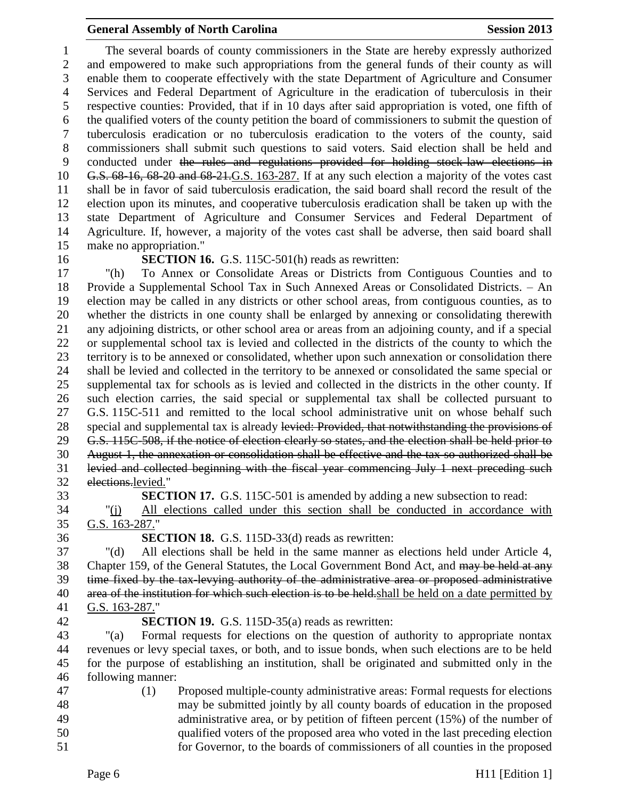The several boards of county commissioners in the State are hereby expressly authorized and empowered to make such appropriations from the general funds of their county as will enable them to cooperate effectively with the state Department of Agriculture and Consumer Services and Federal Department of Agriculture in the eradication of tuberculosis in their respective counties: Provided, that if in 10 days after said appropriation is voted, one fifth of the qualified voters of the county petition the board of commissioners to submit the question of tuberculosis eradication or no tuberculosis eradication to the voters of the county, said commissioners shall submit such questions to said voters. Said election shall be held and conducted under the rules and regulations provided for holding stock-law elections in G.S. 68-16, 68-20 and 68-21.G.S. 163-287. If at any such election a majority of the votes cast shall be in favor of said tuberculosis eradication, the said board shall record the result of the election upon its minutes, and cooperative tuberculosis eradication shall be taken up with the state Department of Agriculture and Consumer Services and Federal Department of Agriculture. If, however, a majority of the votes cast shall be adverse, then said board shall make no appropriation."

#### **SECTION 16.** G.S. 115C-501(h) reads as rewritten:

 "(h) To Annex or Consolidate Areas or Districts from Contiguous Counties and to Provide a Supplemental School Tax in Such Annexed Areas or Consolidated Districts. – An election may be called in any districts or other school areas, from contiguous counties, as to whether the districts in one county shall be enlarged by annexing or consolidating therewith any adjoining districts, or other school area or areas from an adjoining county, and if a special or supplemental school tax is levied and collected in the districts of the county to which the territory is to be annexed or consolidated, whether upon such annexation or consolidation there shall be levied and collected in the territory to be annexed or consolidated the same special or supplemental tax for schools as is levied and collected in the districts in the other county. If such election carries, the said special or supplemental tax shall be collected pursuant to G.S. 115C-511 and remitted to the local school administrative unit on whose behalf such 28 special and supplemental tax is already levied: Provided, that notwithstanding the provisions of G.S. 115C-508, if the notice of election clearly so states, and the election shall be held prior to August 1, the annexation or consolidation shall be effective and the tax so authorized shall be levied and collected beginning with the fiscal year commencing July 1 next preceding such elections.levied."

**SECTION 17.** G.S. 115C-501 is amended by adding a new subsection to read:

 "(j) All elections called under this section shall be conducted in accordance with G.S. 163-287."

**SECTION 18.** G.S. 115D-33(d) reads as rewritten:

 "(d) All elections shall be held in the same manner as elections held under Article 4, 38 Chapter 159, of the General Statutes, the Local Government Bond Act, and may be held at any time fixed by the tax-levying authority of the administrative area or proposed administrative 40 area of the institution for which such election is to be held. shall be held on a date permitted by G.S. 163-287."

## **SECTION 19.** G.S. 115D-35(a) reads as rewritten:

 "(a) Formal requests for elections on the question of authority to appropriate nontax revenues or levy special taxes, or both, and to issue bonds, when such elections are to be held for the purpose of establishing an institution, shall be originated and submitted only in the following manner:

 (1) Proposed multiple-county administrative areas: Formal requests for elections may be submitted jointly by all county boards of education in the proposed administrative area, or by petition of fifteen percent (15%) of the number of qualified voters of the proposed area who voted in the last preceding election for Governor, to the boards of commissioners of all counties in the proposed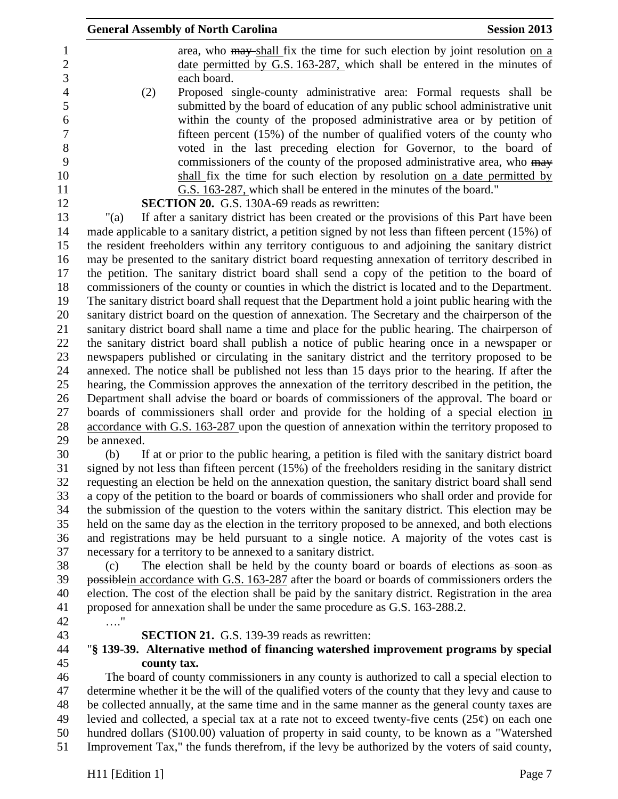|             | <b>General Assembly of North Carolina</b>                                                           | <b>Session 2013</b> |
|-------------|-----------------------------------------------------------------------------------------------------|---------------------|
|             | area, who may shall fix the time for such election by joint resolution on a                         |                     |
|             | date permitted by G.S. 163-287, which shall be entered in the minutes of                            |                     |
|             | each board.                                                                                         |                     |
| (2)         | Proposed single-county administrative area: Formal requests shall be                                |                     |
|             | submitted by the board of education of any public school administrative unit                        |                     |
|             | within the county of the proposed administrative area or by petition of                             |                     |
|             | fifteen percent $(15\%)$ of the number of qualified voters of the county who                        |                     |
|             | voted in the last preceding election for Governor, to the board of                                  |                     |
|             | commissioners of the county of the proposed administrative area, who may                            |                     |
|             | shall fix the time for such election by resolution on a date permitted by                           |                     |
|             | G.S. 163-287, which shall be entered in the minutes of the board."                                  |                     |
|             | <b>SECTION 20.</b> G.S. 130A-69 reads as rewritten:                                                 |                     |
| " $(a)$     | If after a sanitary district has been created or the provisions of this Part have been              |                     |
|             | made applicable to a sanitary district, a petition signed by not less than fifteen percent (15%) of |                     |
|             | the resident freeholders within any territory contiguous to and adjoining the sanitary district     |                     |
|             | may be presented to the sanitary district board requesting annexation of territory described in     |                     |
|             | the petition. The sanitary district board shall send a copy of the petition to the board of         |                     |
|             | commissioners of the county or counties in which the district is located and to the Department.     |                     |
|             | The sanitary district board shall request that the Department hold a joint public hearing with the  |                     |
|             | sanitary district board on the question of annexation. The Secretary and the chairperson of the     |                     |
|             | sanitary district board shall name a time and place for the public hearing. The chairperson of      |                     |
|             | the sanitary district board shall publish a notice of public hearing once in a newspaper or         |                     |
|             | newspapers published or circulating in the sanitary district and the territory proposed to be       |                     |
|             | annexed. The notice shall be published not less than 15 days prior to the hearing. If after the     |                     |
|             | hearing, the Commission approves the annexation of the territory described in the petition, the     |                     |
|             | Department shall advise the board or boards of commissioners of the approval. The board or          |                     |
|             | boards of commissioners shall order and provide for the holding of a special election in            |                     |
|             | accordance with G.S. 163-287 upon the question of annexation within the territory proposed to       |                     |
| be annexed. |                                                                                                     |                     |
| (b)         | If at or prior to the public hearing, a petition is filed with the sanitary district board          |                     |
|             | signed by not less than fifteen percent (15%) of the freeholders residing in the sanitary district  |                     |
|             | requesting an election be held on the annexation question, the sanitary district board shall send   |                     |
|             | a copy of the petition to the board or boards of commissioners who shall order and provide for      |                     |
|             | the submission of the question to the voters within the sanitary district. This election may be     |                     |
|             | held on the same day as the election in the territory proposed to be annexed, and both elections    |                     |
|             | and registrations may be held pursuant to a single notice. A majority of the votes cast is          |                     |
|             | necessary for a territory to be annexed to a sanitary district.                                     |                     |
| (c)         | The election shall be held by the county board or boards of elections as soon as                    |                     |
|             | possible in accordance with G.S. 163-287 after the board or boards of commissioners orders the      |                     |
|             | election. The cost of the election shall be paid by the sanitary district. Registration in the area |                     |
|             | proposed for annexation shall be under the same procedure as G.S. 163-288.2.                        |                     |
| $\ldots$ "  |                                                                                                     |                     |
|             | <b>SECTION 21.</b> G.S. 139-39 reads as rewritten:                                                  |                     |
|             | "§ 139-39. Alternative method of financing watershed improvement programs by special                |                     |
| county tax. |                                                                                                     |                     |
|             | The board of county commissioners in any county is authorized to call a special election to         |                     |
|             | determine whether it be the will of the qualified voters of the county that they levy and cause to  |                     |
|             | be collected annually, at the same time and in the same manner as the general county taxes are      |                     |
|             | levied and collected, a special tax at a rate not to exceed twenty-five cents $(25¢)$ on each one   |                     |
|             | hundred dollars (\$100.00) valuation of property in said county, to be known as a "Watershed        |                     |
|             | Improvement Tax," the funds therefrom, if the levy be authorized by the voters of said county,      |                     |
|             |                                                                                                     |                     |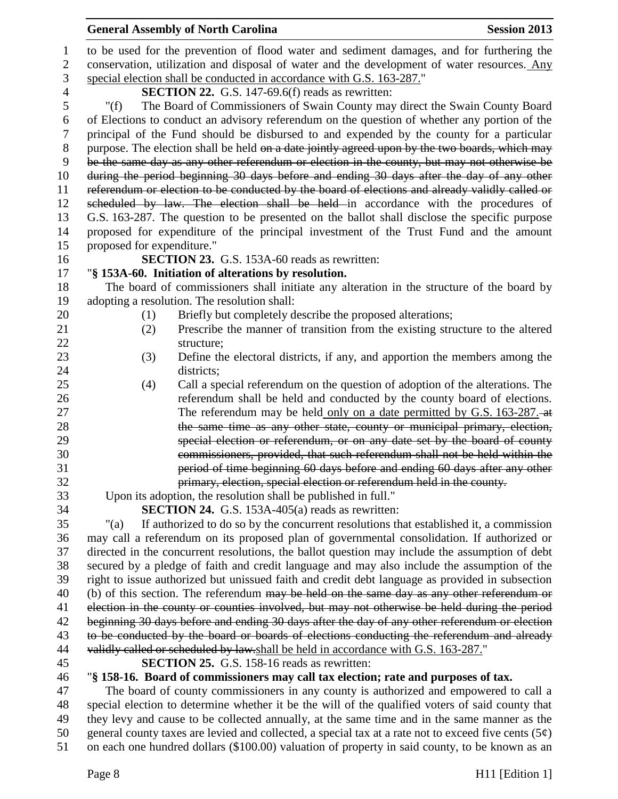|                | <b>General Assembly of North Carolina</b><br><b>Session 2013</b>                                                          |  |  |
|----------------|---------------------------------------------------------------------------------------------------------------------------|--|--|
| 1              | to be used for the prevention of flood water and sediment damages, and for furthering the                                 |  |  |
| $\mathbf{2}$   | conservation, utilization and disposal of water and the development of water resources. Any                               |  |  |
| $\mathfrak{Z}$ | special election shall be conducted in accordance with G.S. 163-287."                                                     |  |  |
| $\overline{4}$ | <b>SECTION 22.</b> G.S. 147-69.6(f) reads as rewritten:                                                                   |  |  |
| 5              | The Board of Commissioners of Swain County may direct the Swain County Board<br>" $(f)$                                   |  |  |
| 6              | of Elections to conduct an advisory referendum on the question of whether any portion of the                              |  |  |
| $\tau$         | principal of the Fund should be disbursed to and expended by the county for a particular                                  |  |  |
| $8\,$          | purpose. The election shall be held on a date jointly agreed upon by the two boards, which may                            |  |  |
| 9              | be the same day as any other referendum or election in the county, but may not otherwise be                               |  |  |
| 10             | during the period beginning 30 days before and ending 30 days after the day of any other                                  |  |  |
| 11             | referendum or election to be conducted by the board of elections and already validly called or                            |  |  |
| 12             | scheduled by law. The election shall be held in accordance with the procedures of                                         |  |  |
| 13             | G.S. 163-287. The question to be presented on the ballot shall disclose the specific purpose                              |  |  |
| 14             | proposed for expenditure of the principal investment of the Trust Fund and the amount                                     |  |  |
| 15             | proposed for expenditure."                                                                                                |  |  |
| 16             | <b>SECTION 23.</b> G.S. 153A-60 reads as rewritten:                                                                       |  |  |
| 17             | "§ 153A-60. Initiation of alterations by resolution.                                                                      |  |  |
| 18             | The board of commissioners shall initiate any alteration in the structure of the board by                                 |  |  |
| 19             | adopting a resolution. The resolution shall:                                                                              |  |  |
| 20             | Briefly but completely describe the proposed alterations;<br>(1)                                                          |  |  |
| 21             | Prescribe the manner of transition from the existing structure to the altered<br>(2)                                      |  |  |
| 22             | structure;                                                                                                                |  |  |
| 23             | Define the electoral districts, if any, and apportion the members among the<br>(3)                                        |  |  |
| 24             | districts;                                                                                                                |  |  |
| 25             | Call a special referendum on the question of adoption of the alterations. The<br>(4)                                      |  |  |
| 26             | referendum shall be held and conducted by the county board of elections.                                                  |  |  |
| 27             | The referendum may be held only on a date permitted by G.S. 163-287.                                                      |  |  |
| 28             | the same time as any other state, county or municipal primary, election,                                                  |  |  |
| 29             | special election or referendum, or on any date set by the board of county                                                 |  |  |
| 30             | commissioners, provided, that such referendum shall not be held within the                                                |  |  |
| 31             | period of time beginning 60 days before and ending 60 days after any other                                                |  |  |
| 32<br>33       | primary, election, special election or referendum held in the county.                                                     |  |  |
| 34             | Upon its adoption, the resolution shall be published in full."<br><b>SECTION 24.</b> G.S. 153A-405(a) reads as rewritten: |  |  |
| 35             | If authorized to do so by the concurrent resolutions that established it, a commission<br>" $(a)$                         |  |  |
| 36             | may call a referendum on its proposed plan of governmental consolidation. If authorized or                                |  |  |
| 37             | directed in the concurrent resolutions, the ballot question may include the assumption of debt                            |  |  |
| 38             | secured by a pledge of faith and credit language and may also include the assumption of the                               |  |  |
| 39             | right to issue authorized but unissued faith and credit debt language as provided in subsection                           |  |  |
| 40             | (b) of this section. The referendum may be held on the same day as any other referendum or                                |  |  |
| 41             | election in the county or counties involved, but may not otherwise be held during the period                              |  |  |
| 42             | beginning 30 days before and ending 30 days after the day of any other referendum or election                             |  |  |
| 43             | to be conducted by the board or boards of elections conducting the referendum and already                                 |  |  |
| 44             | validly called or scheduled by law.shall be held in accordance with G.S. 163-287."                                        |  |  |
| 45             | <b>SECTION 25.</b> G.S. 158-16 reads as rewritten:                                                                        |  |  |
| 46             | "§ 158-16. Board of commissioners may call tax election; rate and purposes of tax.                                        |  |  |
| 47             | The board of county commissioners in any county is authorized and empowered to call a                                     |  |  |
| 48             | special election to determine whether it be the will of the qualified voters of said county that                          |  |  |
| 49             | they levy and cause to be collected annually, at the same time and in the same manner as the                              |  |  |
| 50             | general county taxes are levied and collected, a special tax at a rate not to exceed five cents $(5¢)$                    |  |  |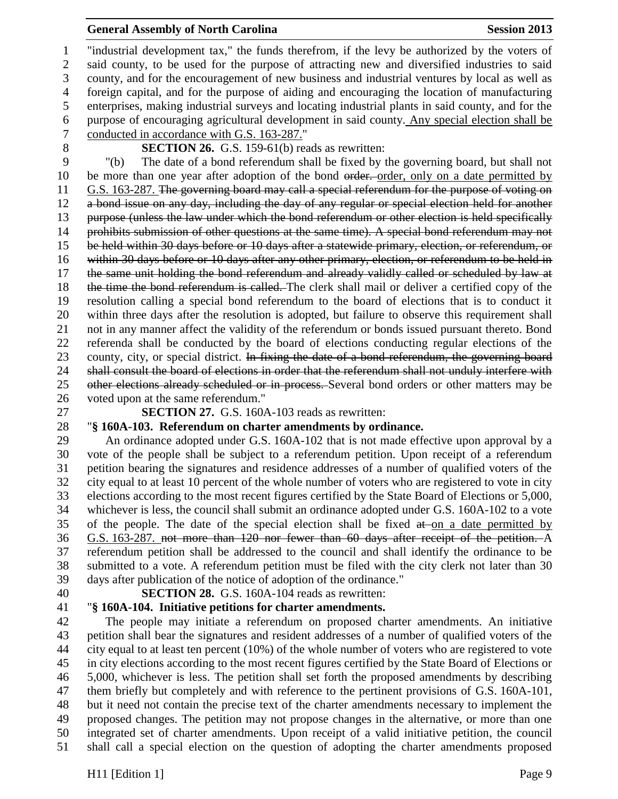"industrial development tax," the funds therefrom, if the levy be authorized by the voters of said county, to be used for the purpose of attracting new and diversified industries to said county, and for the encouragement of new business and industrial ventures by local as well as foreign capital, and for the purpose of aiding and encouraging the location of manufacturing enterprises, making industrial surveys and locating industrial plants in said county, and for the purpose of encouraging agricultural development in said county. Any special election shall be conducted in accordance with G.S. 163-287."

**SECTION 26.** G.S. 159-61(b) reads as rewritten:

 "(b) The date of a bond referendum shall be fixed by the governing board, but shall not 10 be more than one year after adoption of the bond order. order, only on a date permitted by G.S. 163-287. The governing board may call a special referendum for the purpose of voting on a bond issue on any day, including the day of any regular or special election held for another purpose (unless the law under which the bond referendum or other election is held specifically 14 prohibits submission of other questions at the same time). A special bond referendum may not be held within 30 days before or 10 days after a statewide primary, election, or referendum, or within 30 days before or 10 days after any other primary, election, or referendum to be held in the same unit holding the bond referendum and already validly called or scheduled by law at 18 the time the bond referendum is called. The clerk shall mail or deliver a certified copy of the resolution calling a special bond referendum to the board of elections that is to conduct it within three days after the resolution is adopted, but failure to observe this requirement shall not in any manner affect the validity of the referendum or bonds issued pursuant thereto. Bond referenda shall be conducted by the board of elections conducting regular elections of the 23 county, city, or special district. In fixing the date of a bond referendum, the governing board 24 shall consult the board of elections in order that the referendum shall not unduly interfere with 25 other elections already scheduled or in process. Several bond orders or other matters may be voted upon at the same referendum."

**SECTION 27.** G.S. 160A-103 reads as rewritten:

# "**§ 160A-103. Referendum on charter amendments by ordinance.**

 An ordinance adopted under G.S. 160A-102 that is not made effective upon approval by a vote of the people shall be subject to a referendum petition. Upon receipt of a referendum petition bearing the signatures and residence addresses of a number of qualified voters of the city equal to at least 10 percent of the whole number of voters who are registered to vote in city elections according to the most recent figures certified by the State Board of Elections or 5,000, whichever is less, the council shall submit an ordinance adopted under G.S. 160A-102 to a vote 35 of the people. The date of the special election shall be fixed  $a\ddot{t}$  on a date permitted by G.S. 163-287. not more than 120 nor fewer than 60 days after receipt of the petition. A referendum petition shall be addressed to the council and shall identify the ordinance to be submitted to a vote. A referendum petition must be filed with the city clerk not later than 30 days after publication of the notice of adoption of the ordinance."

**SECTION 28.** G.S. 160A-104 reads as rewritten:

## "**§ 160A-104. Initiative petitions for charter amendments.**

 The people may initiate a referendum on proposed charter amendments. An initiative petition shall bear the signatures and resident addresses of a number of qualified voters of the city equal to at least ten percent (10%) of the whole number of voters who are registered to vote in city elections according to the most recent figures certified by the State Board of Elections or 5,000, whichever is less. The petition shall set forth the proposed amendments by describing them briefly but completely and with reference to the pertinent provisions of G.S. 160A-101, but it need not contain the precise text of the charter amendments necessary to implement the proposed changes. The petition may not propose changes in the alternative, or more than one integrated set of charter amendments. Upon receipt of a valid initiative petition, the council shall call a special election on the question of adopting the charter amendments proposed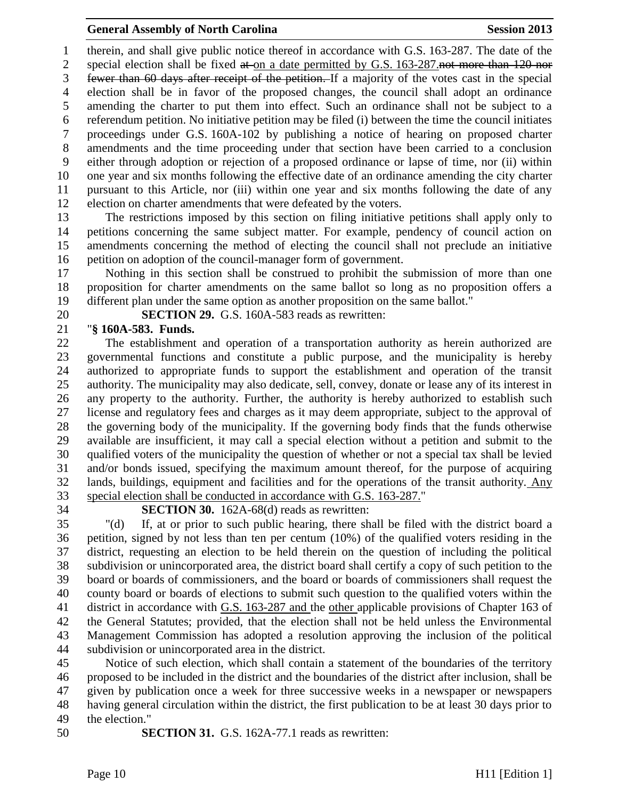therein, and shall give public notice thereof in accordance with G.S. 163-287. The date of the 2 special election shall be fixed at on a date permitted by G.S. 163-287.not more than 120 nor fewer than 60 days after receipt of the petition. If a majority of the votes cast in the special election shall be in favor of the proposed changes, the council shall adopt an ordinance amending the charter to put them into effect. Such an ordinance shall not be subject to a referendum petition. No initiative petition may be filed (i) between the time the council initiates proceedings under G.S. 160A-102 by publishing a notice of hearing on proposed charter amendments and the time proceeding under that section have been carried to a conclusion either through adoption or rejection of a proposed ordinance or lapse of time, nor (ii) within one year and six months following the effective date of an ordinance amending the city charter pursuant to this Article, nor (iii) within one year and six months following the date of any election on charter amendments that were defeated by the voters.

 The restrictions imposed by this section on filing initiative petitions shall apply only to petitions concerning the same subject matter. For example, pendency of council action on amendments concerning the method of electing the council shall not preclude an initiative petition on adoption of the council-manager form of government.

 Nothing in this section shall be construed to prohibit the submission of more than one proposition for charter amendments on the same ballot so long as no proposition offers a different plan under the same option as another proposition on the same ballot."

**SECTION 29.** G.S. 160A-583 reads as rewritten:

## "**§ 160A-583. Funds.**

 The establishment and operation of a transportation authority as herein authorized are governmental functions and constitute a public purpose, and the municipality is hereby authorized to appropriate funds to support the establishment and operation of the transit authority. The municipality may also dedicate, sell, convey, donate or lease any of its interest in any property to the authority. Further, the authority is hereby authorized to establish such license and regulatory fees and charges as it may deem appropriate, subject to the approval of the governing body of the municipality. If the governing body finds that the funds otherwise available are insufficient, it may call a special election without a petition and submit to the qualified voters of the municipality the question of whether or not a special tax shall be levied and/or bonds issued, specifying the maximum amount thereof, for the purpose of acquiring lands, buildings, equipment and facilities and for the operations of the transit authority. Any special election shall be conducted in accordance with G.S. 163-287."

## **SECTION 30.** 162A-68(d) reads as rewritten:

 "(d) If, at or prior to such public hearing, there shall be filed with the district board a petition, signed by not less than ten per centum (10%) of the qualified voters residing in the district, requesting an election to be held therein on the question of including the political subdivision or unincorporated area, the district board shall certify a copy of such petition to the board or boards of commissioners, and the board or boards of commissioners shall request the county board or boards of elections to submit such question to the qualified voters within the district in accordance with G.S. 163-287 and the other applicable provisions of Chapter 163 of the General Statutes; provided, that the election shall not be held unless the Environmental Management Commission has adopted a resolution approving the inclusion of the political subdivision or unincorporated area in the district.

 Notice of such election, which shall contain a statement of the boundaries of the territory proposed to be included in the district and the boundaries of the district after inclusion, shall be given by publication once a week for three successive weeks in a newspaper or newspapers having general circulation within the district, the first publication to be at least 30 days prior to the election."

**SECTION 31.** G.S. 162A-77.1 reads as rewritten: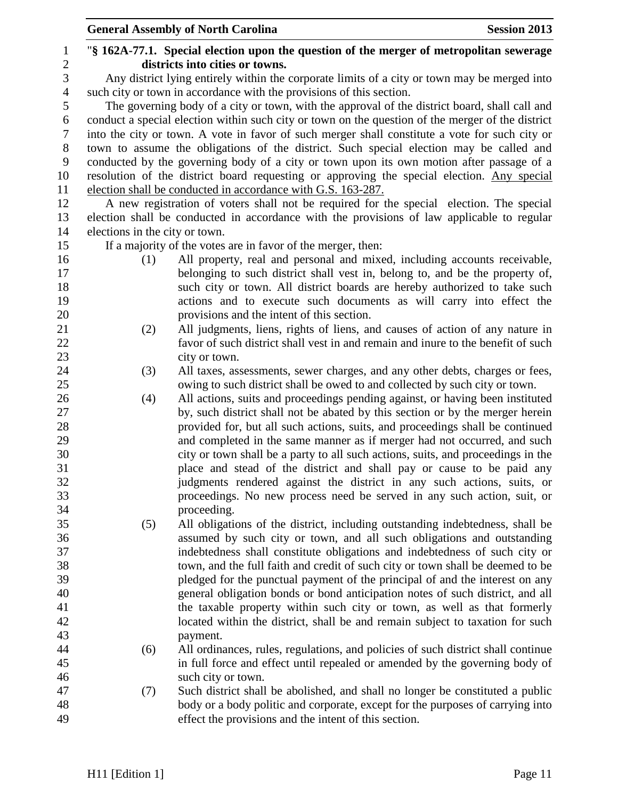|                  |                                | <b>General Assembly of North Carolina</b><br><b>Session 2013</b>                                  |
|------------------|--------------------------------|---------------------------------------------------------------------------------------------------|
| 1                |                                | "\\$ 162A-77.1. Special election upon the question of the merger of metropolitan sewerage         |
| $\overline{c}$   |                                | districts into cities or towns.                                                                   |
| 3                |                                | Any district lying entirely within the corporate limits of a city or town may be merged into      |
| $\overline{4}$   |                                | such city or town in accordance with the provisions of this section.                              |
| 5                |                                | The governing body of a city or town, with the approval of the district board, shall call and     |
| 6                |                                | conduct a special election within such city or town on the question of the merger of the district |
| $\tau$           |                                | into the city or town. A vote in favor of such merger shall constitute a vote for such city or    |
| 8                |                                | town to assume the obligations of the district. Such special election may be called and           |
| $\boldsymbol{9}$ |                                | conducted by the governing body of a city or town upon its own motion after passage of a          |
| 10               |                                | resolution of the district board requesting or approving the special election. Any special        |
| 11               |                                | election shall be conducted in accordance with G.S. 163-287.                                      |
| 12               |                                | A new registration of voters shall not be required for the special election. The special          |
| 13               |                                | election shall be conducted in accordance with the provisions of law applicable to regular        |
| 14               | elections in the city or town. |                                                                                                   |
| 15               |                                | If a majority of the votes are in favor of the merger, then:                                      |
| 16               | (1)                            | All property, real and personal and mixed, including accounts receivable,                         |
| 17               |                                | belonging to such district shall vest in, belong to, and be the property of,                      |
| 18               |                                | such city or town. All district boards are hereby authorized to take such                         |
| 19               |                                | actions and to execute such documents as will carry into effect the                               |
| 20               |                                | provisions and the intent of this section.                                                        |
| 21               | (2)                            | All judgments, liens, rights of liens, and causes of action of any nature in                      |
| 22               |                                | favor of such district shall vest in and remain and inure to the benefit of such                  |
| 23               |                                | city or town.                                                                                     |
| 24               | (3)                            | All taxes, assessments, sewer charges, and any other debts, charges or fees,                      |
| 25               |                                | owing to such district shall be owed to and collected by such city or town.                       |
| 26               | (4)                            | All actions, suits and proceedings pending against, or having been instituted                     |
| 27               |                                | by, such district shall not be abated by this section or by the merger herein                     |
| 28               |                                | provided for, but all such actions, suits, and proceedings shall be continued                     |
| 29               |                                | and completed in the same manner as if merger had not occurred, and such                          |
| 30               |                                | city or town shall be a party to all such actions, suits, and proceedings in the                  |
| 31               |                                | place and stead of the district and shall pay or cause to be paid any                             |
| 32               |                                | judgments rendered against the district in any such actions, suits, or                            |
| 33               |                                | proceedings. No new process need be served in any such action, suit, or                           |
| 34               |                                | proceeding.                                                                                       |
| 35               | (5)                            | All obligations of the district, including outstanding indebtedness, shall be                     |
| 36               |                                | assumed by such city or town, and all such obligations and outstanding                            |
| 37               |                                | indebtedness shall constitute obligations and indebtedness of such city or                        |
| 38               |                                | town, and the full faith and credit of such city or town shall be deemed to be                    |
| 39               |                                | pledged for the punctual payment of the principal of and the interest on any                      |
| 40               |                                | general obligation bonds or bond anticipation notes of such district, and all                     |
| 41               |                                | the taxable property within such city or town, as well as that formerly                           |
| 42               |                                | located within the district, shall be and remain subject to taxation for such                     |
| 43               |                                | payment.                                                                                          |
| 44               | (6)                            | All ordinances, rules, regulations, and policies of such district shall continue                  |
| 45               |                                | in full force and effect until repealed or amended by the governing body of                       |
| 46               |                                | such city or town.                                                                                |
| 47               | (7)                            | Such district shall be abolished, and shall no longer be constituted a public                     |
| 48               |                                | body or a body politic and corporate, except for the purposes of carrying into                    |
| 49               |                                | effect the provisions and the intent of this section.                                             |